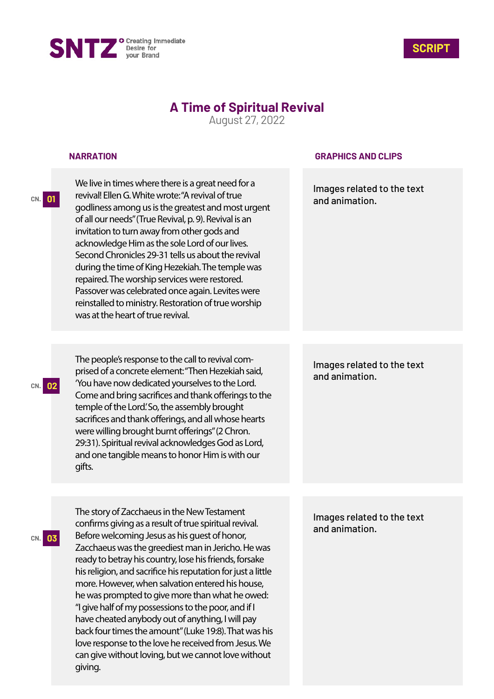



# **A Time of Spiritual Revival**

August 27, 2022

### **NARRATION**

**CN. 01**

**CN. 02**

**CN. 03**

We live in times where there is a great need for a revival! Ellen G. White wrote: "A revival of true godliness among us is the greatest and most urgent of all our needs" (True Revival, p. 9). Revival is an invitation to turn away from other gods and acknowledge Him as the sole Lord of our lives. Second Chronicles 29-31 tells us about the revival during the time of King Hezekiah. The temple was repaired. The worship services were restored. Passover was celebrated once again. Levites were reinstalled to ministry. Restoration of true worship was at the heart of true revival.

The people's response to the call to revival comprised of a concrete element: "Then Hezekiah said, 'You have now dedicated yourselves to the Lord. Come and bring sacrifices and thank offerings to the temple of the Lord.' So, the assembly brought sacrifices and thank offerings, and all whose hearts were willing brought burnt offerings" (2 Chron. 29:31). Spiritual revival acknowledges God as Lord, and one tangible means to honor Him is with our gifts.

The story of Zacchaeus in the New Testament confirms giving as a result of true spiritual revival. Before welcoming Jesus as his guest of honor, Zacchaeus was the greediest man in Jericho. He was ready to betray his country, lose his friends, forsake his religion, and sacrifice his reputation for just a little more. However, when salvation entered his house, he was prompted to give more than what he owed: "I give half of my possessions to the poor, and if I have cheated anybody out of anything, I will pay back four times the amount" (Luke 19:8). That was his love response to the love he received from Jesus. We can give without loving, but we cannot love without giving.

### **GRAPHICS AND CLIPS**

Images related to the text and animation.

Images related to the text and animation.

Images related to the text and animation.